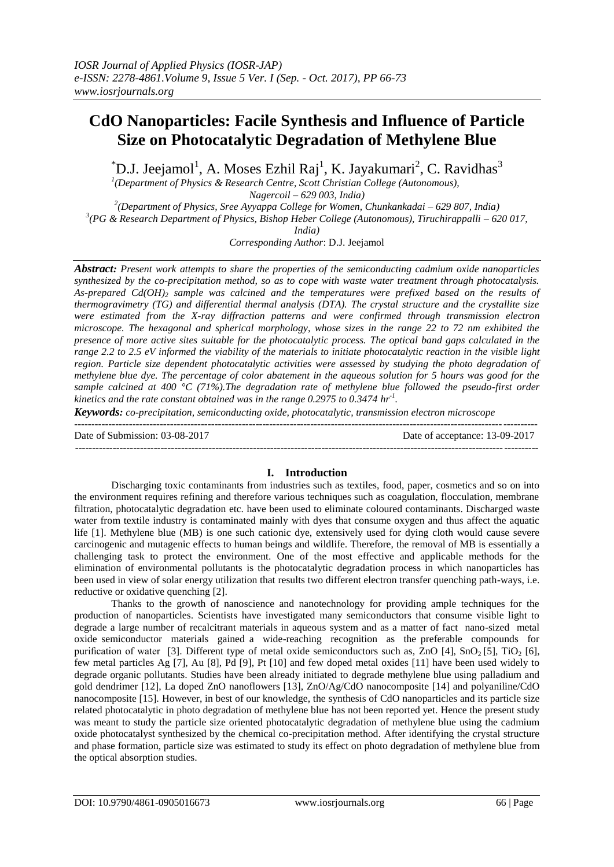# **CdO Nanoparticles: Facile Synthesis and Influence of Particle Size on Photocatalytic Degradation of Methylene Blue**

 $\rm ^*D.J.$  Jeejamol<sup>1</sup>, A. Moses Ezhil Raj<sup>1</sup>, K. Jayakumari<sup>2</sup>, C. Ravidhas<sup>3</sup>

*1 (Department of Physics & Research Centre, Scott Christian College (Autonomous), Nagercoil – 629 003, India)*

*2 (Department of Physics, Sree Ayyappa College for Women, Chunkankadai – 629 807, India) 3 (PG & Research Department of Physics, Bishop Heber College (Autonomous), Tiruchirappalli – 620 017,* 

*India)*

*Corresponding Author*: D.J. Jeejamol

*Abstract: Present work attempts to share the properties of the semiconducting cadmium oxide nanoparticles synthesized by the co-precipitation method, so as to cope with waste water treatment through photocatalysis. As-prepared Cd(OH)<sup>2</sup> sample was calcined and the temperatures were prefixed based on the results of thermogravimetry (TG) and differential thermal analysis (DTA). The crystal structure and the crystallite size were estimated from the X-ray diffraction patterns and were confirmed through transmission electron microscope. The hexagonal and spherical morphology, whose sizes in the range 22 to 72 nm exhibited the presence of more active sites suitable for the photocatalytic process. The optical band gaps calculated in the range 2.2 to 2.5 eV informed the viability of the materials to initiate photocatalytic reaction in the visible light region. Particle size dependent photocatalytic activities were assessed by studying the photo degradation of methylene blue dye. The percentage of color abatement in the aqueous solution for 5 hours was good for the sample calcined at 400 °C (71%).The degradation rate of methylene blue followed the pseudo-first order kinetics and the rate constant obtained was in the range 0.2975 to 0.3474 hr-1 .*

*Keywords: co-precipitation, semiconducting oxide, photocatalytic, transmission electron microscope*

--------------------------------------------------------------------------------------------------------------------------------------- Date of Submission: 03-08-2017 Date of acceptance: 13-09-2017 ---------------------------------------------------------------------------------------------------------------------------------------

# **I. Introduction**

Discharging toxic contaminants from industries such as textiles, food, paper, cosmetics and so on into the environment requires refining and therefore various techniques such as coagulation, flocculation, membrane filtration, photocatalytic degradation etc. have been used to eliminate coloured contaminants. Discharged waste water from textile industry is contaminated mainly with dyes that consume oxygen and thus affect the aquatic life [1]. Methylene blue (MB) is one such cationic dye, extensively used for dying cloth would cause severe carcinogenic and mutagenic effects to human beings and wildlife. Therefore, the removal of MB is essentially a challenging task to protect the environment. One of the most effective and applicable methods for the elimination of environmental pollutants is the photocatalytic degradation process in which nanoparticles has been used in view of solar energy utilization that results two different electron transfer quenching path-ways, i.e. reductive or oxidative quenching [2].

Thanks to the growth of nanoscience and nanotechnology for providing ample techniques for the production of nanoparticles. Scientists have investigated many semiconductors that consume visible light to degrade a large number of recalcitrant materials in aqueous system and as a matter of fact nano-sized metal oxide semiconductor materials gained a wide-reaching recognition as the preferable compounds for purification of water [3]. Different type of metal oxide semiconductors such as, ZnO  $[4]$ , SnO<sub>2</sub> [5], TiO<sub>2</sub> [6], few metal particles Ag [7], Au [8], Pd [9], Pt [10] and few doped metal oxides [11] have been used widely to degrade organic pollutants. Studies have been already initiated to degrade methylene blue using palladium and gold dendrimer [12], La doped ZnO nanoflowers [13], ZnO/Ag/CdO nanocomposite [14] and polyaniline/CdO nanocomposite [15]. However, in best of our knowledge, the synthesis of CdO nanoparticles and its particle size related photocatalytic in photo degradation of methylene blue has not been reported yet. Hence the present study was meant to study the particle size oriented photocatalytic degradation of methylene blue using the cadmium oxide photocatalyst synthesized by the chemical co-precipitation method. After identifying the crystal structure and phase formation, particle size was estimated to study its effect on photo degradation of methylene blue from the optical absorption studies.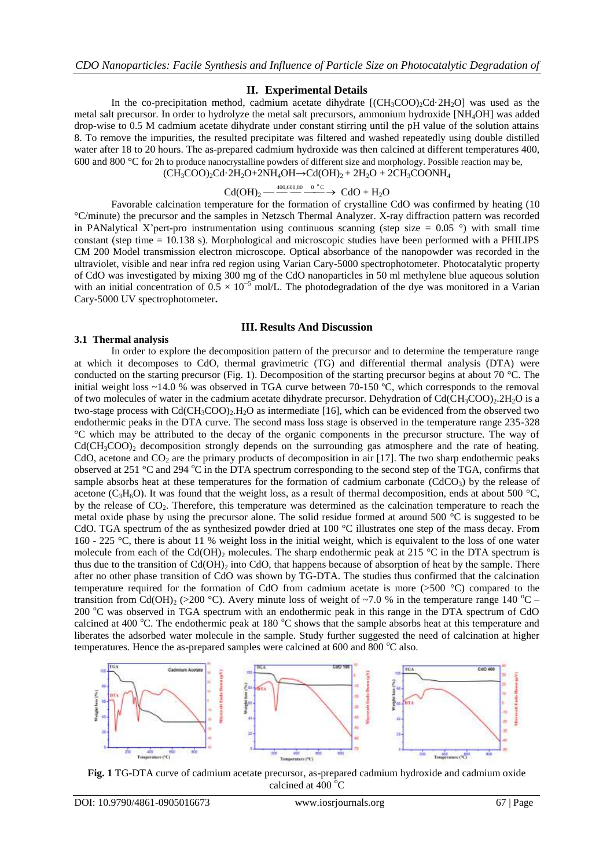#### **II. Experimental Details**

In the co-precipitation method, cadmium acetate dihydrate  $[(CH_3COO)_2Cd \cdot 2H_2O]$  was used as the metal salt precursor. In order to hydrolyze the metal salt precursors, ammonium hydroxide [NH4OH] was added drop-wise to 0.5 M cadmium acetate dihydrate under constant stirring until the pH value of the solution attains 8. To remove the impurities, the resulted precipitate was filtered and washed repeatedly using double distilled water after 18 to 20 hours. The as-prepared cadmium hydroxide was then calcined at different temperatures 400, 600 and 800 °C for 2h to produce nanocrystalline powders of different size and morphology. Possible reaction may be,  $(CH_3COO)_2Cd \cdot 2H_2O + 2NH_4OH \rightarrow Cd(OH)_2 + 2H_2O + 2CH_3COONH_4$ 

$$
Cd(OH)2 \xrightarrow{\phantom{aa}400,600,80} \xrightarrow{0} \circ^{\circ}C \rightarrow CdO + H2O
$$

Favorable calcination temperature for the formation of crystalline CdO was confirmed by heating (10 °C/minute) the precursor and the samples in Netzsch Thermal Analyzer. X-ray diffraction pattern was recorded in PANalytical X'pert-pro instrumentation using continuous scanning (step size  $= 0.05$  °) with small time constant (step time  $= 10.138$  s). Morphological and microscopic studies have been performed with a PHILIPS CM 200 Model transmission electron microscope. Optical absorbance of the nanopowder was recorded in the ultraviolet, visible and near infra red region using Varian Cary-5000 spectrophotometer. Photocatalytic property of CdO was investigated by mixing 300 mg of the CdO nanoparticles in 50 ml methylene blue aqueous solution with an initial concentration of  $0.5 \times 10^{-5}$  mol/L. The photodegradation of the dye was monitored in a Varian Cary-5000 UV spectrophotometer**.**

#### **III. Results And Discussion**

#### **3.1 Thermal analysis**

In order to explore the decomposition pattern of the precursor and to determine the temperature range at which it decomposes to CdO, thermal gravimetric (TG) and differential thermal analysis (DTA) were conducted on the starting precursor (Fig. 1). Decomposition of the starting precursor begins at about 70 °C. The initial weight loss ~14.0 % was observed in TGA curve between 70-150 ºC, which corresponds to the removal of two molecules of water in the cadmium acetate dihydrate precursor. Dehydration of  $Cd(CH_3COO)_{2}$ .  $2H_2O$  is a two-stage process with  $Cd(CH_3COO)_2.H_2O$  as intermediate [16], which can be evidenced from the observed two endothermic peaks in the DTA curve. The second mass loss stage is observed in the temperature range 235-328 °C which may be attributed to the decay of the organic components in the precursor structure. The way of  $Cd(CH_3COO)_2$  decomposition strongly depends on the surrounding gas atmosphere and the rate of heating. CdO, acetone and  $CO<sub>2</sub>$  are the primary products of decomposition in air [17]. The two sharp endothermic peaks observed at 251  $\degree$ C and 294  $\degree$ C in the DTA spectrum corresponding to the second step of the TGA, confirms that sample absorbs heat at these temperatures for the formation of cadmium carbonate ( $CdCO<sub>3</sub>$ ) by the release of acetone (C<sub>3</sub>H<sub>6</sub>O). It was found that the weight loss, as a result of thermal decomposition, ends at about 500 °C, by the release of CO<sub>2</sub>. Therefore, this temperature was determined as the calcination temperature to reach the metal oxide phase by using the precursor alone. The solid residue formed at around 500  $^{\circ}$ C is suggested to be CdO. TGA spectrum of the as synthesized powder dried at 100 °C illustrates one step of the mass decay. From 160 - 225 °C, there is about 11 % weight loss in the initial weight, which is equivalent to the loss of one water molecule from each of the Cd(OH)<sub>2</sub> molecules. The sharp endothermic peak at 215 °C in the DTA spectrum is thus due to the transition of  $Cd(OH)_2$  into  $CdO$ , that happens because of absorption of heat by the sample. There after no other phase transition of CdO was shown by TG-DTA. The studies thus confirmed that the calcination temperature required for the formation of CdO from cadmium acetate is more (>500 °C) compared to the transition from Cd(OH)<sub>2</sub> (>200 °C). Avery minute loss of weight of ~7.0 % in the temperature range 140 °C – 200 °C was observed in TGA spectrum with an endothermic peak in this range in the DTA spectrum of CdO calcined at 400  $^{\circ}$ C. The endothermic peak at 180  $^{\circ}$ C shows that the sample absorbs heat at this temperature and liberates the adsorbed water molecule in the sample. Study further suggested the need of calcination at higher temperatures. Hence the as-prepared samples were calcined at  $600$  and  $800$   $^{\circ}$ C also.



**Fig. 1** TG-DTA curve of cadmium acetate precursor, as-prepared cadmium hydroxide and cadmium oxide calcined at  $400^{\degree}$ C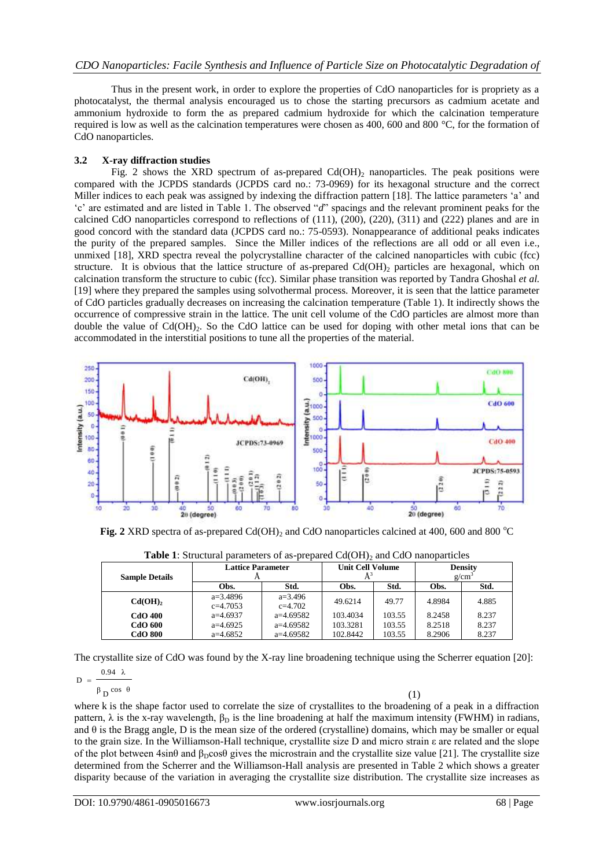Thus in the present work, in order to explore the properties of CdO nanoparticles for is propriety as a photocatalyst, the thermal analysis encouraged us to chose the starting precursors as cadmium acetate and ammonium hydroxide to form the as prepared cadmium hydroxide for which the calcination temperature required is low as well as the calcination temperatures were chosen as 400, 600 and 800 °C, for the formation of CdO nanoparticles.

## **3.2 X-ray diffraction studies**

Fig. 2 shows the XRD spectrum of as-prepared  $Cd(OH)_2$  nanoparticles. The peak positions were compared with the JCPDS standards (JCPDS card no.: 73-0969) for its hexagonal structure and the correct Miller indices to each peak was assigned by indexing the diffraction pattern [18]. The lattice parameters 'a' and "c" are estimated and are listed in Table 1. The observed "d" spacings and the relevant prominent peaks for the calcined CdO nanoparticles correspond to reflections of (111), (200), (220), (311) and (222) planes and are in good concord with the standard data (JCPDS card no.: 75-0593). Nonappearance of additional peaks indicates the purity of the prepared samples. Since the Miller indices of the reflections are all odd or all even i.e., unmixed [18], XRD spectra reveal the polycrystalline character of the calcined nanoparticles with cubic (fcc) structure. It is obvious that the lattice structure of as-prepared  $Cd(OH)$ <sub>2</sub> particles are hexagonal, which on calcination transform the structure to cubic (fcc). Similar phase transition was reported by Tandra Ghoshal *et al.*  [19] where they prepared the samples using solvothermal process. Moreover, it is seen that the lattice parameter of CdO particles gradually decreases on increasing the calcination temperature (Table 1). It indirectly shows the occurrence of compressive strain in the lattice. The unit cell volume of the CdO particles are almost more than double the value of  $Cd(OH)_{2}$ . So the CdO lattice can be used for doping with other metal ions that can be accommodated in the interstitial positions to tune all the properties of the material.



**Fig. 2** XRD spectra of as-prepared Cd(OH)<sub>2</sub> and CdO nanoparticles calcined at 400, 600 and 800  $^{\circ}$ C

| <b>Tuble 1</b> . Differently parameters of as prepared eq. O11/ and edo hanoparticles |                          |             |                         |        |                |       |  |  |
|---------------------------------------------------------------------------------------|--------------------------|-------------|-------------------------|--------|----------------|-------|--|--|
| <b>Sample Details</b>                                                                 | <b>Lattice Parameter</b> |             | <b>Unit Cell Volume</b> |        | <b>Density</b> |       |  |  |
|                                                                                       |                          |             |                         |        | $g/cm^{3}$     |       |  |  |
|                                                                                       | Obs.                     | Std.        | Obs.                    | Std.   | Obs.           | Std.  |  |  |
| Cd(OH) <sub>2</sub>                                                                   | $a=3.4896$               | $a=3.496$   | 49.6214                 | 49.77  | 4.8984         | 4.885 |  |  |
|                                                                                       | $c=4.7053$               | $c=4.702$   |                         |        |                |       |  |  |
| <b>CdO 400</b>                                                                        | $a=4.6937$               | $a=4.69582$ | 103.4034                | 103.55 | 8.2458         | 8.237 |  |  |
| <b>CdO 600</b>                                                                        | $a=4.6925$               | $a=4.69582$ | 103.3281                | 103.55 | 8.2518         | 8.237 |  |  |
| <b>CdO 800</b>                                                                        | $a=4.6852$               | $a=4.69582$ | 102.8442                | 103.55 | 8.2906         | 8.237 |  |  |

**Table 1:** Structural parameters of as-prepared Cd(OH)<sub>2</sub> and CdO nanoparticles

The crystallite size of CdO was found by the X-ray line broadening technique using the Scherrer equation [20]:

$$
D = \frac{0.94 \ \lambda}{\beta \, \text{D}} \cos \, \theta
$$

(1)

where k is the shape factor used to correlate the size of crystallites to the broadening of a peak in a diffraction pattern,  $\lambda$  is the x-ray wavelength,  $\beta_D$  is the line broadening at half the maximum intensity (FWHM) in radians, and  $\theta$  is the Bragg angle, D is the mean size of the ordered (crystalline) domains, which may be smaller or equal to the grain size. In the Williamson-Hall technique, crystallite size D and micro strain ε are related and the slope of the plot between  $4\sin\theta$  and  $\beta_p\cos\theta$  gives the microstrain and the crystallite size value [21]. The crystallite size determined from the Scherrer and the Williamson-Hall analysis are presented in Table 2 which shows a greater disparity because of the variation in averaging the crystallite size distribution. The crystallite size increases as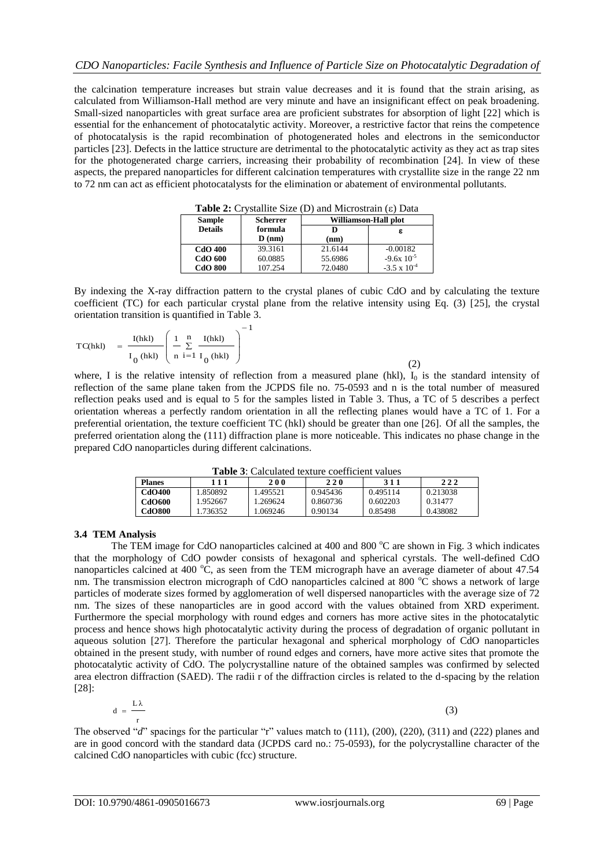the calcination temperature increases but strain value decreases and it is found that the strain arising, as calculated from Williamson-Hall method are very minute and have an insignificant effect on peak broadening. Small-sized nanoparticles with great surface area are proficient substrates for absorption of light [22] which is essential for the enhancement of photocatalytic activity. Moreover, a restrictive factor that reins the competence of photocatalysis is the rapid recombination of photogenerated holes and electrons in the semiconductor particles [23]. Defects in the lattice structure are detrimental to the photocatalytic activity as they act as trap sites for the photogenerated charge carriers, increasing their probability of recombination [24]. In view of these aspects, the prepared nanoparticles for different calcination temperatures with crystallite size in the range 22 nm to 72 nm can act as efficient photocatalysts for the elimination or abatement of environmental pollutants.

| <b>Table 2:</b> Crystallite Size (D) and Microstrain (E) Data |                 |                      |                       |  |  |  |
|---------------------------------------------------------------|-----------------|----------------------|-----------------------|--|--|--|
| <b>Sample</b>                                                 | <b>Scherrer</b> | Williamson-Hall plot |                       |  |  |  |
| <b>Details</b>                                                | formula         |                      | ε                     |  |  |  |
|                                                               | $\bf{D}$ (nm)   | (nm)                 |                       |  |  |  |
| <b>CdO 400</b>                                                | 39.3161         | 21.6144              | $-0.00182$            |  |  |  |
| <b>CdO 600</b>                                                | 60.0885         | 55.6986              | $-9.6x$ $10^{-5}$     |  |  |  |
| <b>CdO 800</b>                                                | 107.254         | 72.0480              | $-3.5 \times 10^{-4}$ |  |  |  |

**Table 2:** Crystallite Size (D) and Microstrain (c) Det

By indexing the X-ray diffraction pattern to the crystal planes of cubic CdO and by calculating the texture coefficient (TC) for each particular crystal plane from the relative intensity using Eq. (3) [25], the crystal orientation transition is quantified in Table 3.

$$
TC(hkl) = \frac{I(hkl)}{I_0(hkl)} \left( \frac{1}{n} \sum_{i=1}^{n} \frac{I(hkl)}{I_0(hkl)} \right)^{-1}
$$

(2)

where, I is the relative intensity of reflection from a measured plane (hkl),  $I_0$  is the standard intensity of reflection of the same plane taken from the JCPDS file no. 75-0593 and n is the total number of measured reflection peaks used and is equal to 5 for the samples listed in Table 3. Thus, a TC of 5 describes a perfect orientation whereas a perfectly random orientation in all the reflecting planes would have a TC of 1. For a preferential orientation, the texture coefficient TC (hkl) should be greater than one [26]. Of all the samples, the preferred orientation along the (111) diffraction plane is more noticeable. This indicates no phase change in the prepared CdO nanoparticles during different calcinations.

**Table 3**: Calculated texture coefficient values

| <b>Planes</b> | 111      | 200     | 220      | 311      | 222      |  |  |  |
|---------------|----------|---------|----------|----------|----------|--|--|--|
| <b>CdO400</b> | .850892  | .495521 | 0.945436 | 0.495114 | 0.213038 |  |  |  |
| CdO600        | 1.952667 | .269624 | 0.860736 | 0.602203 | 0.31477  |  |  |  |
| <b>CdO800</b> | .736352  | .069246 | 0.90134  | 0.85498  | 0.438082 |  |  |  |
|               |          |         |          |          |          |  |  |  |

# **3.4 TEM Analysis**

The TEM image for CdO nanoparticles calcined at  $400$  and  $800^{\circ}$ C are shown in Fig. 3 which indicates that the morphology of CdO powder consists of hexagonal and spherical cyrstals. The well-defined CdO nanoparticles calcined at 400  $^{\circ}$ C, as seen from the TEM micrograph have an average diameter of about 47.54 nm. The transmission electron micrograph of CdO nanoparticles calcined at 800  $\degree$ C shows a network of large particles of moderate sizes formed by agglomeration of well dispersed nanoparticles with the average size of 72 nm. The sizes of these nanoparticles are in good accord with the values obtained from XRD experiment. Furthermore the special morphology with round edges and corners has more active sites in the photocatalytic process and hence shows high photocatalytic activity during the process of degradation of organic pollutant in aqueous solution [27]. Therefore the particular hexagonal and spherical morphology of CdO nanoparticles obtained in the present study, with number of round edges and corners, have more active sites that promote the photocatalytic activity of CdO. The polycrystalline nature of the obtained samples was confirmed by selected area electron diffraction (SAED). The radii r of the diffraction circles is related to the d-spacing by the relation [28]:

$$
d = \frac{L\lambda}{r}
$$
 (3)

The observed "*d*" spacings for the particular "r" values match to (111), (200), (220), (311) and (222) planes and are in good concord with the standard data (JCPDS card no.: 75-0593), for the polycrystalline character of the calcined CdO nanoparticles with cubic (fcc) structure.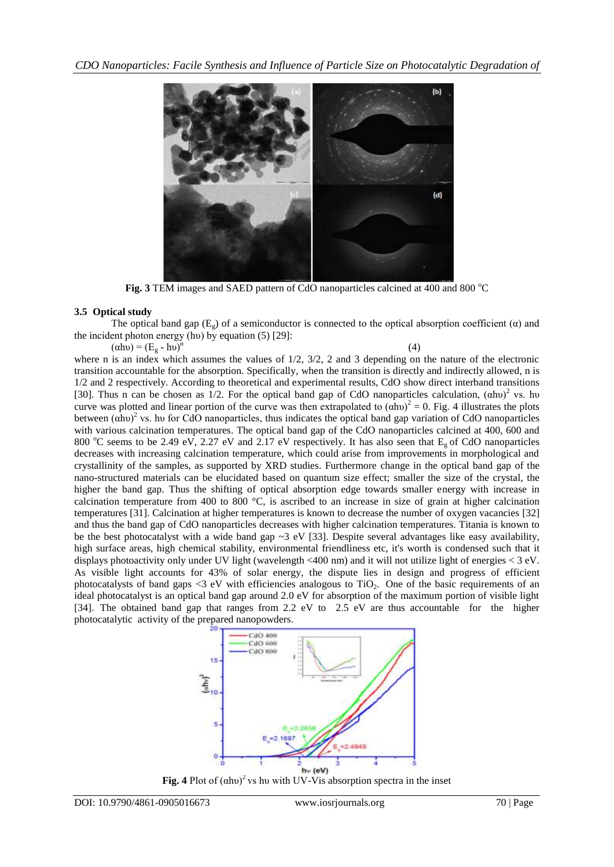

**Fig. 3** TEM images and SAED pattern of CdO nanoparticles calcined at 400 and 800 °C

# **3.5 Optical study**

The optical band gap  $(E_{\nu})$  of a semiconductor is connected to the optical absorption coefficient ( $\alpha$ ) and the incident photon energy (hu) by equation (5) [29]:

 $(\alpha h\nu) = (E_g - h\nu)^n$ 

(4)

where n is an index which assumes the values of  $1/2$ ,  $3/2$ , 2 and 3 depending on the nature of the electronic transition accountable for the absorption. Specifically, when the transition is directly and indirectly allowed, n is 1/2 and 2 respectively. According to theoretical and experimental results, CdO show direct interband transitions [30]. Thus n can be chosen as  $1/2$ . For the optical band gap of CdO nanoparticles calculation,  $(ahu)^2$  vs. hu curve was plotted and linear portion of the curve was then extrapolated to  $(\alpha h\nu)^2 = 0$ . Fig. 4 illustrates the plots between  $(ahu)^2$  vs. hu for CdO nanoparticles, thus indicates the optical band gap variation of CdO nanoparticles with various calcination temperatures. The optical band gap of the CdO nanoparticles calcined at 400, 600 and 800  $^{\circ}$ C seems to be 2.49 eV, 2.27 eV and 2.17 eV respectively. It has also seen that E<sub>g</sub> of CdO nanoparticles decreases with increasing calcination temperature, which could arise from improvements in morphological and crystallinity of the samples, as supported by XRD studies. Furthermore change in the optical band gap of the nano-structured materials can be elucidated based on quantum size effect; smaller the size of the crystal, the higher the band gap. Thus the shifting of optical absorption edge towards smaller energy with increase in calcination temperature from 400 to 800 °C, is ascribed to an increase in size of grain at higher calcination temperatures [31]. Calcination at higher temperatures is known to decrease the number of oxygen vacancies [32] and thus the band gap of CdO nanoparticles decreases with higher calcination temperatures. Titania is known to be the best photocatalyst with a wide band gap  $\sim$ 3 eV [33]. Despite several advantages like easy availability, high surface areas, high chemical stability, environmental friendliness etc, it's worth is condensed such that it displays photoactivity only under UV light (wavelength <400 nm) and it will not utilize light of energies < 3 eV. As visible light accounts for 43% of solar energy, the dispute lies in design and progress of efficient photocatalysts of band gaps  $\leq$ 3 eV with efficiencies analogous to TiO<sub>2</sub>. One of the basic requirements of an ideal photocatalyst is an optical band gap around 2.0 eV for absorption of the maximum portion of visible light [34]. The obtained band gap that ranges from 2.2 eV to 2.5 eV are thus accountable for the higher photocatalytic activity of the prepared nanopowders.



**Fig. 4** Plot of (αhυ)<sup>2</sup> vs hυ with UV-Vis absorption spectra in the inset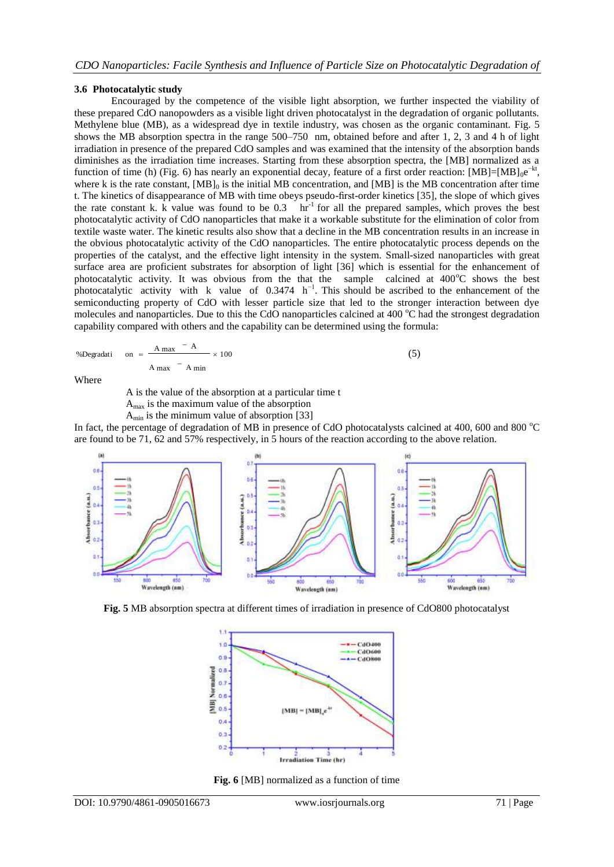## **3.6 Photocatalytic study**

Encouraged by the competence of the visible light absorption, we further inspected the viability of these prepared CdO nanopowders as a visible light driven photocatalyst in the degradation of organic pollutants. Methylene blue (MB), as a widespread dye in textile industry, was chosen as the organic contaminant. Fig. 5 shows the MB absorption spectra in the range 500–750 nm, obtained before and after 1, 2, 3 and 4 h of light irradiation in presence of the prepared CdO samples and was examined that the intensity of the absorption bands diminishes as the irradiation time increases. Starting from these absorption spectra, the [MB] normalized as a function of time (h) (Fig. 6) has nearly an exponential decay, feature of a first order reaction:  $[MB]=[MB]_0e^{-kt}$ , where k is the rate constant,  $[MB]_0$  is the initial MB concentration, and  $[MB]$  is the MB concentration after time t. The kinetics of disappearance of MB with time obeys pseudo-first-order kinetics [35], the slope of which gives the rate constant k. k value was found to be 0.3 hr<sup>-1</sup> for all the prepared samples, which proves the best photocatalytic activity of CdO nanoparticles that make it a workable substitute for the elimination of color from textile waste water. The kinetic results also show that a decline in the MB concentration results in an increase in the obvious photocatalytic activity of the CdO nanoparticles. The entire photocatalytic process depends on the properties of the catalyst, and the effective light intensity in the system. Small-sized nanoparticles with great surface area are proficient substrates for absorption of light [36] which is essential for the enhancement of photocatalytic activity. It was obvious from the that the sample calcined at  $400^{\circ}$ C shows the best photocatalytic activity with k value of  $0.3474$  h<sup>-1</sup>. This should be ascribed to the enhancement of the semiconducting property of CdO with lesser particle size that led to the stronger interaction between dye molecules and nanoparticles. Due to this the CdO nanoparticles calcined at  $400^{\circ}$ C had the strongest degradation capability compared with others and the capability can be determined using the formula:

%
$$
\% \text{Degradati} \quad \text{on} \quad = \frac{A \text{ max}}{A \text{ max}} - \frac{A}{A \text{ min}} \times 100 \tag{5}
$$

Where

A is the value of the absorption at a particular time t

 $A<sub>max</sub>$  is the maximum value of the absorption

 $A_{\text{min}}$  is the minimum value of absorption [33]

In fact, the percentage of degradation of MB in presence of CdO photocatalysts calcined at 400, 600 and 800  $^{\circ}$ C are found to be 71, 62 and 57% respectively, in 5 hours of the reaction according to the above relation.



**Fig. 5** MB absorption spectra at different times of irradiation in presence of CdO800 photocatalyst



**Fig. 6** [MB] normalized as a function of time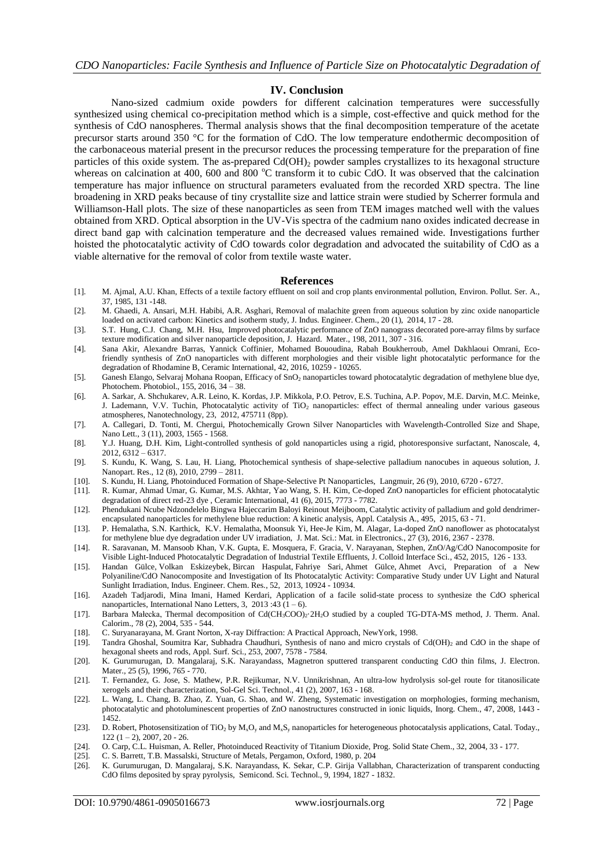### **IV. Conclusion**

Nano-sized cadmium oxide powders for different calcination temperatures were successfully synthesized using chemical co-precipitation method which is a simple, cost-effective and quick method for the synthesis of CdO nanospheres. Thermal analysis shows that the final decomposition temperature of the acetate precursor starts around 350 °C for the formation of CdO. The low temperature endothermic decomposition of the carbonaceous material present in the precursor reduces the processing temperature for the preparation of fine particles of this oxide system. The as-prepared  $Cd(OH)$ , powder samples crystallizes to its hexagonal structure whereas on calcination at 400, 600 and 800  $^{\circ}$ C transform it to cubic CdO. It was observed that the calcination temperature has major influence on structural parameters evaluated from the recorded XRD spectra. The line broadening in XRD peaks because of tiny crystallite size and lattice strain were studied by Scherrer formula and Williamson-Hall plots. The size of these nanoparticles as seen from TEM images matched well with the values obtained from XRD. Optical absorption in the UV-Vis spectra of the cadmium nano oxides indicated decrease in direct band gap with calcination temperature and the decreased values remained wide. Investigations further hoisted the photocatalytic activity of CdO towards color degradation and advocated the suitability of CdO as a viable alternative for the removal of color from textile waste water.

#### **References**

- [1]. M. Ajmal, A.U. Khan, Effects of a textile factory effluent on soil and crop plants environmental pollution, Environ. Pollut. Ser. A., 37, 1985, 131 -148.
- [2]. M. Ghaedi, A. Ansari, M.H. Habibi, A.R. Asghari, Removal of malachite green from aqueous solution by zinc oxide nanoparticle loaded on activated carbon: Kinetics and isotherm study, J. Indus. Engineer. Chem., 20 (1), 2014, 17 - 28.
- [3]. S.T. Hung, C.J. Chang, M.H. Hsu, Improved photocatalytic performance of ZnO nanograss decorated pore-array films by surface texture modification and silver nanoparticle deposition, J. Hazard. Mater., 198, 2011, 307 - 316.
- [4]. Sana Akir, Alexandre Barras, Yannick Coffinier, Mohamed Bououdina, Rabah Boukherroub, Amel Dakhlaoui Omrani, Ecofriendly synthesis of ZnO nanoparticles with different morphologies and their visible light photocatalytic performance for the degradation of Rhodamine B, Ceramic International, 42, 2016, 10259 - 10265.
- [5]. Ganesh Elango, Selvaraj Mohana Roopan, Efficacy of SnO<sub>2</sub> nanoparticles toward photocatalytic degradation of methylene blue dye, Photochem. Photobiol., 155, 2016, 34 – 38.
- [6]. A. Sarkar, A. Shchukarev, A.R. Leino, K. Kordas, J.P. Mikkola, P.O. Petrov, E.S. Tuchina, A.P. Popov, M.E. Darvin, M.C. Meinke, J. Lademann, V.V. Tuchin, Photocatalytic activity of TiO<sub>2</sub> nanoparticles: effect of thermal annealing under various gaseous atmospheres, Nanotechnology, 23, 2012, 475711 (8pp).
- [7]. A. Callegari, D. Tonti, M. Chergui, Photochemically Grown Silver Nanoparticles with Wavelength-Controlled Size and Shape, Nano Lett., 3 (11), 2003, 1565 - 1568.
- [8]. Y.J. Huang, D.H. Kim, Light-controlled synthesis of gold nanoparticles using a rigid, photoresponsive surfactant, Nanoscale, 4, 2012, 6312 – 6317.
- [9]. S. Kundu, K. Wang, S. Lau, H. Liang, Photochemical synthesis of shape-selective palladium nanocubes in aqueous solution, J. Nanopart. Res., 12 (8), 2010, 2799 – 2811.
- [10]. S. Kundu, H. Liang, Photoinduced Formation of Shape-Selective Pt Nanoparticles, Langmuir, 26 (9), 2010, 6720 6727.
- [11]. R. Kumar, Ahmad Umar, G. Kumar, M.S. Akhtar, Yao Wang, S. H. Kim, Ce-doped ZnO nanoparticles for efficient photocatalytic degradation of direct red-23 dye , Ceramic International, 41 (6), 2015, 7773 - 7782.
- [12]. Phendukani Ncube Ndzondelelo Bingwa Hajeccarim Baloyi Reinout Meijboom, Catalytic activity of palladium and gold dendrimerencapsulated nanoparticles for methylene blue reduction: A kinetic analysis, Appl. Catalysis A., 495, 2015, 63 - 71.
- [13]. P. [Hemalatha,](https://www.infona.pl/contributor/0@bwmeta1.element.springer-doi-10_1007-S10854-015-4034-8/tab/publications) S.N. Karthick, K.V. [Hemalatha,](https://www.infona.pl/contributor/2@bwmeta1.element.springer-doi-10_1007-S10854-015-4034-8/tab/publications) [Moonsuk](https://www.infona.pl/contributor/3@bwmeta1.element.springer-doi-10_1007-S10854-015-4034-8/tab/publications) Yi, [Hee-Je](https://www.infona.pl/contributor/4@bwmeta1.element.springer-doi-10_1007-S10854-015-4034-8/tab/publications) Kim, M. [Alagar,](https://www.infona.pl/contributor/5@bwmeta1.element.springer-doi-10_1007-S10854-015-4034-8/tab/publications) La-doped ZnO nanoflower as photocatalyst for methylene blue dye degradation under UV irradiation, J. Mat. Sci.: Mat. in [Electronics.,](https://www.infona.pl/resource/bwmeta1.element.springer-000000010854/tab/jContent) [27](https://www.infona.pl/resource/bwmeta1.element.springer-000000010854/tab/jContent/facet?field=%5ejournalYear%5ejournalVolume&value=%5e_02016%5e_00027) (3), [2016,](https://www.infona.pl/resource/bwmeta1.element.springer-000000010854/tab/jContent/facet?field=%5ejournalYear&value=%5e_02016) 2367 - 2378.
- [14]. R. Saravanan, M. Mansoob Khan, V.K. Gupta, E. Mosquera, F. Gracia, V. Narayanan, Stephen, ZnO/Ag/CdO Nanocomposite for Visible Light-Induced Photocatalytic Degradation of Industrial Textile Effluents, J. [Colloid Interface Sci.,](http://www.ncbi.nlm.nih.gov/pubmed/25935283) 452, 2015, 126 - 133.
- [15]. [Handan Gülce,](http://pubs.acs.org/author/G%C3%BClce%2C+Handan) [Volkan Eskizeybek,](http://pubs.acs.org/author/Eskizeybek%2C+Volkan) [Bircan Haspulat,](http://pubs.acs.org/author/Haspulat%2C+Bircan) Fahriye Sari, [Ahmet Gülce,](http://pubs.acs.org/author/G%C3%BClce%2C+Ahmet) Ahmet Avci, Preparation of a New Polyaniline/CdO Nanocomposite and Investigation of Its Photocatalytic Activity: Comparative Study under UV Light and Natural Sunlight Irradiation, Indus. Engineer. Chem. Res., 52, 2013, 10924 - 10934.
- [16]. Azadeh Tadjarodi, Mina Imani, Hamed Kerdari, Application of a facile solid-state process to synthesize the CdO spherical nanoparticles, International Nano Letters, 3, 2013 :43  $(1 - 6)$ .
- [17]. Barbara Małecka, Thermal decomposition of Cd(CH<sub>3</sub>COO)<sub>2</sub>·2H<sub>2</sub>O studied by a coupled TG-DTA-MS method, J. Therm. Anal. Calorim., 78 (2), 2004, 535 - 544.
- [18]. C. Suryanarayana, M. Grant Norton, X-ray Diffraction: A Practical Approach, NewYork, 1998.
- [19]. Tandra Ghoshal, Soumitra Kar, Subhadra Chaudhuri, Synthesis of nano and micro crystals of Cd(OH)<sub>2</sub> and CdO in the shape of hexagonal sheets and rods, Appl. Surf. Sci., 253, 2007, 7578 - 7584.
- [20]. K. Gurumurugan, D. Mangalaraj, S.K. Narayandass, Magnetron sputtered transparent conducting CdO thin films, J. Electron. Mater., 25 (5), 1996, 765 - 770.
- [21]. T. Fernandez, G. Jose, S. Mathew, P.R. Rejikumar, N.V. Unnikrishnan, An ultra-low hydrolysis sol-gel route for titanosilicate xerogels and their characterization, Sol-Gel Sci. Technol., 41 (2), 2007, 163 - 168.
- [22]. L. Wang, L. Chang, B. Zhao, Z. Yuan, G. Shao, and W. Zheng, Systematic investigation on morphologies, forming mechanism, photocatalytic and photoluminescent properties of ZnO nanostructures constructed in ionic liquids, Inorg. Chem., 47, 2008, 1443 - 1452.
- [23]. D. Robert, Photosensitization of TiO<sub>2</sub> by  $M_xO_y$  and  $M_xS_y$  nanoparticles for heterogeneous photocatalysis applications, Catal. Today.,  $122(1 - 2), 2007, 20 - 26.$
- [24]. O. Carp, C.L. Huisman, A. Reller, Photoinduced Reactivity of Titanium Dioxide, Prog. Solid State Chem., 32, 2004, 33 177.
- [25]. C. S. Barrett, T.B. Massalski, Structure of Metals, Pergamon, Oxford, 1980, p. 204 [26]. K. Gurumurugan, D. Mangalaraj, S.K. Narayandass, K. Sekar, C.P. Girija Vallab
- [26]. K. Gurumurugan, D. Mangalaraj, S.K. Narayandass, K. Sekar, C.P. Girija Vallabhan, Characterization of transparent conducting CdO films deposited by spray pyrolysis, Semicond. Sci. Technol., 9, 1994, 1827 - 1832.